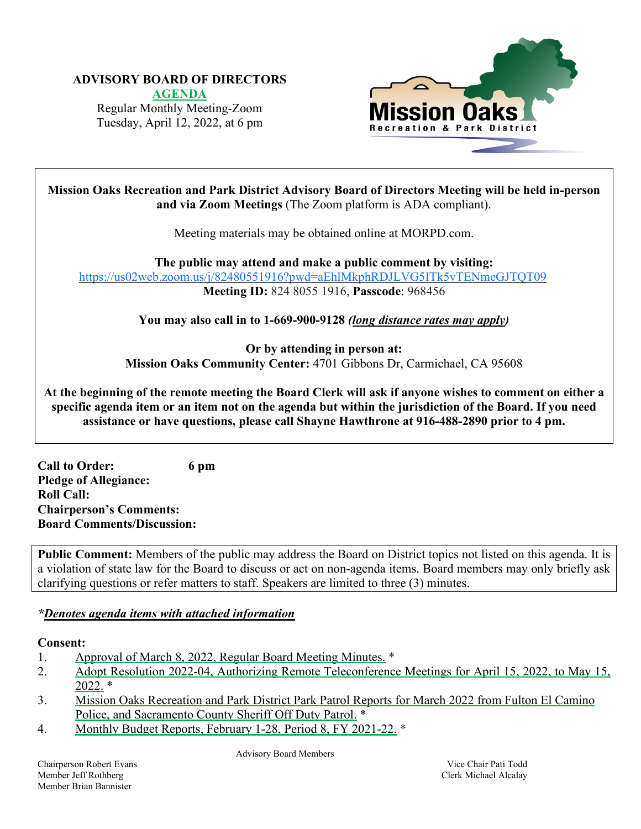## **ADVISORY BOARD OF DIRECTORS**

**[AGENDA](https://www.morpd.com/files/4cb2fd85f/00.0-FULL+AGENDA+April+12%2C+2022+Advisory+Board+Meeting.pdf)** Regular Monthly Meeting-Zoom Tuesday, April 12, 2022, at 6 pm



**Mission Oaks Recreation and Park District Advisory Board of Directors Meeting will be held in-person and via Zoom Meetings** (The Zoom platform is ADA compliant).

Meeting materials may be obtained online at MORPD.com.

**The public may attend and make a public comment by visiting:** <https://us02web.zoom.us/j/82480551916?pwd=aEhlMkphRDJLVG5ITk5vTENmeGJTQT09> **Meeting ID:** 824 8055 1916, **Passcode**: 968456

**You may also call in to 1-669-900-9128** *(long distance rates may apply)*

**Or by attending in person at: Mission Oaks Community Center:** 4701 Gibbons Dr, Carmichael, CA 95608

At the beginning of the remote meeting the Board Clerk will ask if anyone wishes to comment on either a specific agenda item or an item not on the agenda but within the jurisdiction of the Board. If you need **assistance or have questions, please call Shayne Hawthrone at 916-488-2890 prior to 4 pm.**

**Call to Order: 6 pm Pledge of Allegiance: Roll Call: Chairperson's Comments: Board Comments/Discussion:**

**Public Comment:** Members of the public may address the Board on District topics not listed on this agenda. It is a violation of state law for the Board to discuss or act on non-agenda items. Board members may only briefly ask clarifying questions or refer matters to staff. Speakers are limited to three (3) minutes.

## *\*Denotes agenda items with attached information*

#### **Consent:**

- 1. Approval of March 8, 2022, [Regular Board Meeting Minutes.](https://morpd.specialdistrict.org/files/260a5d26f/01-March+Meeting+Minutes.pdf) \*
- 2. Adopt Resolution 2022-04, Authorizing Remote [Teleconference](https://morpd.specialdistrict.org/files/d654a3e92/02.0-Staff+report+Resolution.pdf) Meetings for April 15, 2022, to May 15,  $2022.$  \*
- 3. Mission Oaks [Recreation](https://morpd.specialdistrict.org/files/ef12c8254/3.0-Patrol+logs+March.pdf) and Park District Park Patrol Reports for March 2022 from Fulton El Camino Police, and [Sacramento](https://morpd.specialdistrict.org/files/ef12c8254/3.0-Patrol+logs+March.pdf) County Sheriff Off Duty Patrol. \*
- 4. Monthly Budget Reports, [February](https://morpd.specialdistrict.org/files/313ca37d1/04.0-Finance+Period+8+-+Budget+%26+Staff+Report.pdf) 1-28, Period 8, FY 2021-22. \*

Advisory Board Members